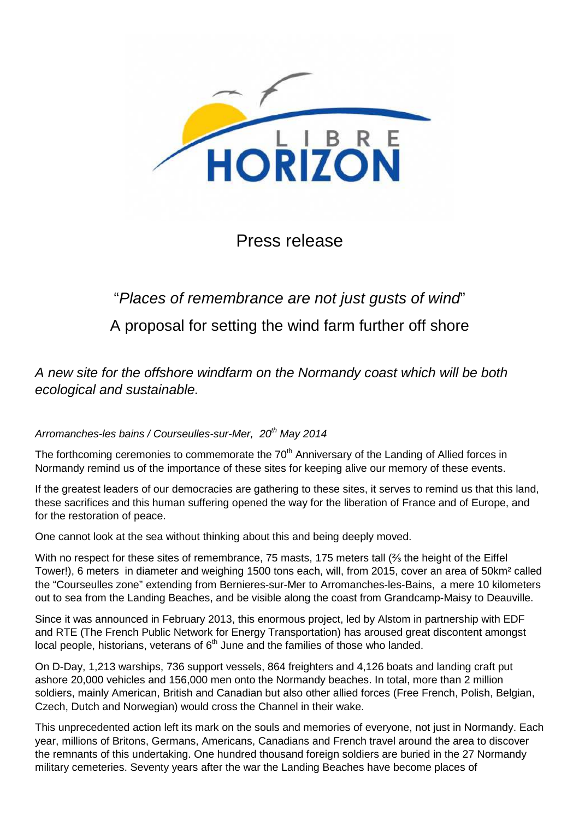

Press release

## "Places of remembrance are not just gusts of wind" A proposal for setting the wind farm further off shore

A new site for the offshore windfarm on the Normandy coast which will be both ecological and sustainable.

## Arromanches-les bains / Courseulles-sur-Mer, 20<sup>th</sup> May 2014

The forthcoming ceremonies to commemorate the 70<sup>th</sup> Anniversary of the Landing of Allied forces in Normandy remind us of the importance of these sites for keeping alive our memory of these events.

If the greatest leaders of our democracies are gathering to these sites, it serves to remind us that this land, these sacrifices and this human suffering opened the way for the liberation of France and of Europe, and for the restoration of peace.

One cannot look at the sea without thinking about this and being deeply moved.

With no respect for these sites of remembrance, 75 masts, 175 meters tall (⅔ the height of the Eiffel Tower!), 6 meters in diameter and weighing 1500 tons each, will, from 2015, cover an area of 50km² called the "Courseulles zone" extending from Bernieres-sur-Mer to Arromanches-les-Bains, a mere 10 kilometers out to sea from the Landing Beaches, and be visible along the coast from Grandcamp-Maisy to Deauville.

Since it was announced in February 2013, this enormous project, led by Alstom in partnership with EDF and RTE (The French Public Network for Energy Transportation) has aroused great discontent amongst local people, historians, veterans of  $6<sup>th</sup>$  June and the families of those who landed.

On D-Day, 1,213 warships, 736 support vessels, 864 freighters and 4,126 boats and landing craft put ashore 20,000 vehicles and 156,000 men onto the Normandy beaches. In total, more than 2 million soldiers, mainly American, British and Canadian but also other allied forces (Free French, Polish, Belgian, Czech, Dutch and Norwegian) would cross the Channel in their wake.

This unprecedented action left its mark on the souls and memories of everyone, not just in Normandy. Each year, millions of Britons, Germans, Americans, Canadians and French travel around the area to discover the remnants of this undertaking. One hundred thousand foreign soldiers are buried in the 27 Normandy military cemeteries. Seventy years after the war the Landing Beaches have become places of